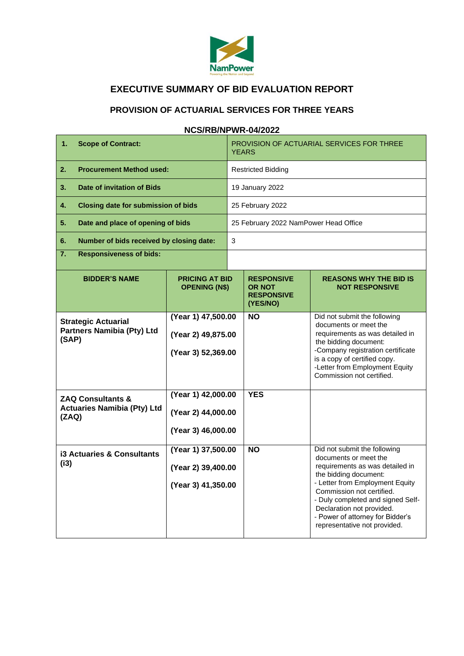

# **EXECUTIVE SUMMARY OF BID EVALUATION REPORT**

## **PROVISION OF ACTUARIAL SERVICES FOR THREE YEARS**

### **NCS/RB/NPWR-04/2022**

| 1.<br><b>Scope of Contract:</b>                                             |                                                                | PROVISION OF ACTUARIAL SERVICES FOR THREE<br><b>YEARS</b> |                                                                     |                                                                                                                                                                                                                                                                                                                         |  |  |
|-----------------------------------------------------------------------------|----------------------------------------------------------------|-----------------------------------------------------------|---------------------------------------------------------------------|-------------------------------------------------------------------------------------------------------------------------------------------------------------------------------------------------------------------------------------------------------------------------------------------------------------------------|--|--|
| <b>Procurement Method used:</b><br>2.                                       |                                                                | Restricted Bidding                                        |                                                                     |                                                                                                                                                                                                                                                                                                                         |  |  |
| <b>Date of invitation of Bids</b><br>3.                                     |                                                                | 19 January 2022                                           |                                                                     |                                                                                                                                                                                                                                                                                                                         |  |  |
| 4.<br><b>Closing date for submission of bids</b>                            |                                                                | 25 February 2022                                          |                                                                     |                                                                                                                                                                                                                                                                                                                         |  |  |
| 5.<br>Date and place of opening of bids                                     |                                                                | 25 February 2022 NamPower Head Office                     |                                                                     |                                                                                                                                                                                                                                                                                                                         |  |  |
| 6.<br>Number of bids received by closing date:                              |                                                                | 3                                                         |                                                                     |                                                                                                                                                                                                                                                                                                                         |  |  |
| $\overline{7}$ .<br><b>Responsiveness of bids:</b>                          |                                                                |                                                           |                                                                     |                                                                                                                                                                                                                                                                                                                         |  |  |
| <b>BIDDER'S NAME</b>                                                        | <b>PRICING AT BID</b><br><b>OPENING (N\$)</b>                  |                                                           | <b>RESPONSIVE</b><br><b>OR NOT</b><br><b>RESPONSIVE</b><br>(YES/NO) | <b>REASONS WHY THE BID IS</b><br><b>NOT RESPONSIVE</b>                                                                                                                                                                                                                                                                  |  |  |
| <b>Strategic Actuarial</b><br><b>Partners Namibia (Pty) Ltd</b><br>(SAP)    | (Year 1) 47,500.00<br>(Year 2) 49,875.00<br>(Year 3) 52,369.00 |                                                           | <b>NO</b>                                                           | Did not submit the following<br>documents or meet the<br>requirements as was detailed in<br>the bidding document:<br>-Company registration certificate<br>is a copy of certified copy.<br>-Letter from Employment Equity<br>Commission not certified.                                                                   |  |  |
| <b>ZAQ Consultants &amp;</b><br><b>Actuaries Namibia (Pty) Ltd</b><br>(ZAQ) | (Year 1) 42,000.00<br>(Year 2) 44,000.00<br>(Year 3) 46,000.00 |                                                           | <b>YES</b>                                                          |                                                                                                                                                                                                                                                                                                                         |  |  |
| <b>i3 Actuaries &amp; Consultants</b><br>(i3)                               | (Year 1) 37,500.00<br>(Year 2) 39,400.00<br>(Year 3) 41,350.00 |                                                           | <b>NO</b>                                                           | Did not submit the following<br>documents or meet the<br>requirements as was detailed in<br>the bidding document:<br>- Letter from Employment Equity<br>Commission not certified.<br>- Duly completed and signed Self-<br>Declaration not provided.<br>- Power of attorney for Bidder's<br>representative not provided. |  |  |